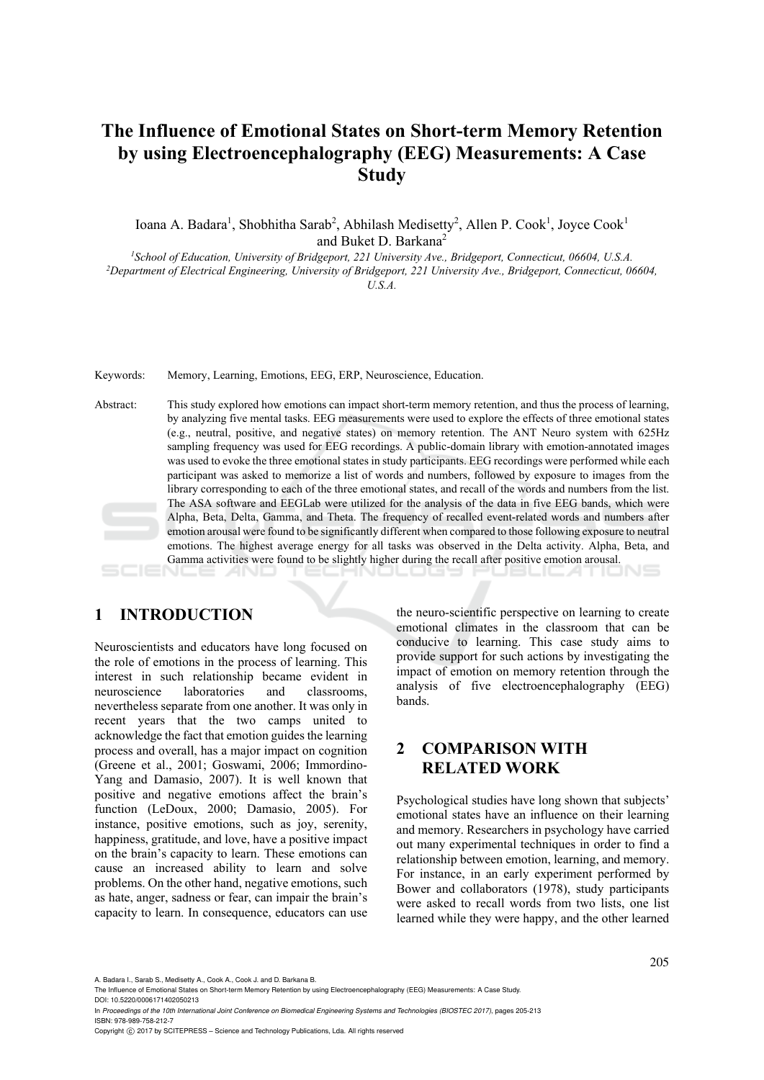# **The Influence of Emotional States on Short-term Memory Retention by using Electroencephalography (EEG) Measurements: A Case Study**

Ioana A. Badara<sup>1</sup>, Shobhitha Sarab<sup>2</sup>, Abhilash Medisetty<sup>2</sup>, Allen P. Cook<sup>1</sup>, Joyce Cook<sup>1</sup> and Buket D. Barkana<sup>2</sup>

<sup>1</sup>School of Education, University of Bridgeport, 221 University Ave., Bridgeport, Connecticut, 06604, U.S.A.<br><sup>2</sup>Department of Electrical Engineering, University of Bridgeport, 221 University Ave., Bridgeport, Connecticut, *U.S.A.* 

Keywords: Memory, Learning, Emotions, EEG, ERP, Neuroscience, Education.

Abstract: This study explored how emotions can impact short-term memory retention, and thus the process of learning, by analyzing five mental tasks. EEG measurements were used to explore the effects of three emotional states (e.g., neutral, positive, and negative states) on memory retention. The ANT Neuro system with 625Hz sampling frequency was used for EEG recordings. A public-domain library with emotion-annotated images was used to evoke the three emotional states in study participants. EEG recordings were performed while each participant was asked to memorize a list of words and numbers, followed by exposure to images from the library corresponding to each of the three emotional states, and recall of the words and numbers from the list. The ASA software and EEGLab were utilized for the analysis of the data in five EEG bands, which were Alpha, Beta, Delta, Gamma, and Theta. The frequency of recalled event-related words and numbers after emotion arousal were found to be significantly different when compared to those following exposure to neutral emotions. The highest average energy for all tasks was observed in the Delta activity. Alpha, Beta, and Gamma activities were found to be slightly higher during the recall after positive emotion arousal.

### **1 INTRODUCTION**

Neuroscientists and educators have long focused on the role of emotions in the process of learning. This interest in such relationship became evident in neuroscience laboratories and classrooms, nevertheless separate from one another. It was only in recent years that the two camps united to acknowledge the fact that emotion guides the learning process and overall, has a major impact on cognition (Greene et al., 2001; Goswami, 2006; Immordino-Yang and Damasio, 2007). It is well known that positive and negative emotions affect the brain's function (LeDoux, 2000; Damasio, 2005). For instance, positive emotions, such as joy, serenity, happiness, gratitude, and love, have a positive impact on the brain's capacity to learn. These emotions can cause an increased ability to learn and solve problems. On the other hand, negative emotions, such as hate, anger, sadness or fear, can impair the brain's capacity to learn. In consequence, educators can use

the neuro-scientific perspective on learning to create emotional climates in the classroom that can be conducive to learning. This case study aims to provide support for such actions by investigating the impact of emotion on memory retention through the analysis of five electroencephalography (EEG) bands.

### **2 COMPARISON WITH RELATED WORK**

Psychological studies have long shown that subjects' emotional states have an influence on their learning and memory. Researchers in psychology have carried out many experimental techniques in order to find a relationship between emotion, learning, and memory. For instance, in an early experiment performed by Bower and collaborators (1978), study participants were asked to recall words from two lists, one list learned while they were happy, and the other learned

Copyright (C) 2017 by SCITEPRESS - Science and Technology Publications, Lda. All rights reserved

A. Badara I., Sarab S., Medisetty A., Cook A., Cook J. and D. Barkana B.

The Influence of Emotional States on Short-term Memory Retention by using Electroencephalography (EEG) Measurements: A Case Study.

DOI: 10.5220/0006171402050213 In *Proceedings of the 10th International Joint Conference on Biomedical Engineering Systems and Technologies (BIOSTEC 2017)*, pages 205-213 ISBN: 978-989-758-212-7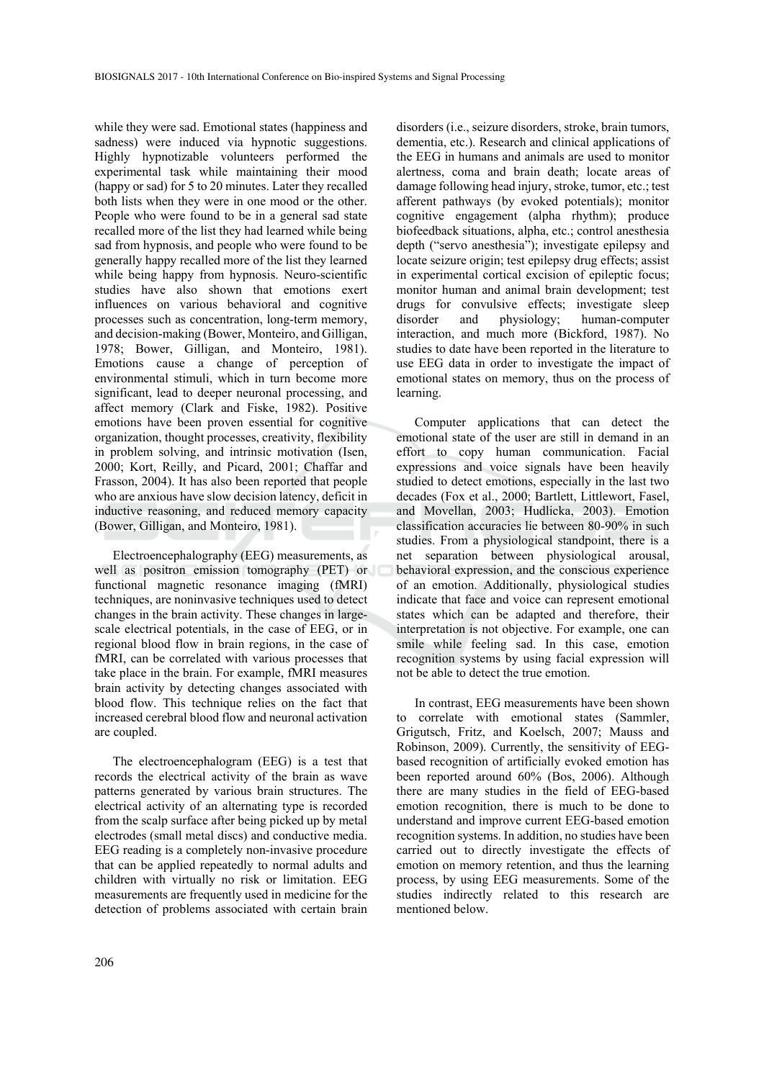while they were sad. Emotional states (happiness and sadness) were induced via hypnotic suggestions. Highly hypnotizable volunteers performed the experimental task while maintaining their mood (happy or sad) for 5 to 20 minutes. Later they recalled both lists when they were in one mood or the other. People who were found to be in a general sad state recalled more of the list they had learned while being sad from hypnosis, and people who were found to be generally happy recalled more of the list they learned while being happy from hypnosis. Neuro-scientific studies have also shown that emotions exert influences on various behavioral and cognitive processes such as concentration, long-term memory, and decision-making (Bower, Monteiro, and Gilligan, 1978; Bower, Gilligan, and Monteiro, 1981). Emotions cause a change of perception of environmental stimuli, which in turn become more significant, lead to deeper neuronal processing, and affect memory (Clark and Fiske, 1982). Positive emotions have been proven essential for cognitive organization, thought processes, creativity, flexibility in problem solving, and intrinsic motivation (Isen, 2000; Kort, Reilly, and Picard, 2001; Chaffar and Frasson, 2004). It has also been reported that people who are anxious have slow decision latency, deficit in inductive reasoning, and reduced memory capacity (Bower, Gilligan, and Monteiro, 1981).

Electroencephalography (EEG) measurements, as well as positron emission tomography (PET) or functional magnetic resonance imaging (fMRI) techniques, are noninvasive techniques used to detect changes in the brain activity. These changes in largescale electrical potentials, in the case of EEG, or in regional blood flow in brain regions, in the case of fMRI, can be correlated with various processes that take place in the brain. For example, fMRI measures brain activity by detecting changes associated with blood flow. This technique relies on the fact that increased cerebral blood flow and neuronal activation are coupled.

The electroencephalogram (EEG) is a test that records the electrical activity of the brain as wave patterns generated by various brain structures. The electrical activity of an alternating type is recorded from the scalp surface after being picked up by metal electrodes (small metal discs) and conductive media. EEG reading is a completely non-invasive procedure that can be applied repeatedly to normal adults and children with virtually no risk or limitation. EEG measurements are frequently used in medicine for the detection of problems associated with certain brain

disorders (i.e., seizure disorders, stroke, brain tumors, dementia, etc.). Research and clinical applications of the EEG in humans and animals are used to monitor alertness, coma and brain death; locate areas of damage following head injury, stroke, tumor, etc.; test afferent pathways (by evoked potentials); monitor cognitive engagement (alpha rhythm); produce biofeedback situations, alpha, etc.; control anesthesia depth ("servo anesthesia"); investigate epilepsy and locate seizure origin; test epilepsy drug effects; assist in experimental cortical excision of epileptic focus; monitor human and animal brain development; test drugs for convulsive effects; investigate sleep<br>disorder and physiology: human-computer and physiology; human-computer interaction, and much more (Bickford, 1987). No studies to date have been reported in the literature to use EEG data in order to investigate the impact of emotional states on memory, thus on the process of learning.

Computer applications that can detect the emotional state of the user are still in demand in an effort to copy human communication. Facial expressions and voice signals have been heavily studied to detect emotions, especially in the last two decades (Fox et al., 2000; Bartlett, Littlewort, Fasel, and Movellan, 2003; Hudlicka, 2003). Emotion classification accuracies lie between 80-90% in such studies. From a physiological standpoint, there is a net separation between physiological arousal, behavioral expression, and the conscious experience of an emotion. Additionally, physiological studies indicate that face and voice can represent emotional states which can be adapted and therefore, their interpretation is not objective. For example, one can smile while feeling sad. In this case, emotion recognition systems by using facial expression will not be able to detect the true emotion.

In contrast, EEG measurements have been shown to correlate with emotional states (Sammler, Grigutsch, Fritz, and Koelsch, 2007; Mauss and Robinson, 2009). Currently, the sensitivity of EEGbased recognition of artificially evoked emotion has been reported around 60% (Bos, 2006). Although there are many studies in the field of EEG-based emotion recognition, there is much to be done to understand and improve current EEG-based emotion recognition systems. In addition, no studies have been carried out to directly investigate the effects of emotion on memory retention, and thus the learning process, by using EEG measurements. Some of the studies indirectly related to this research are mentioned below.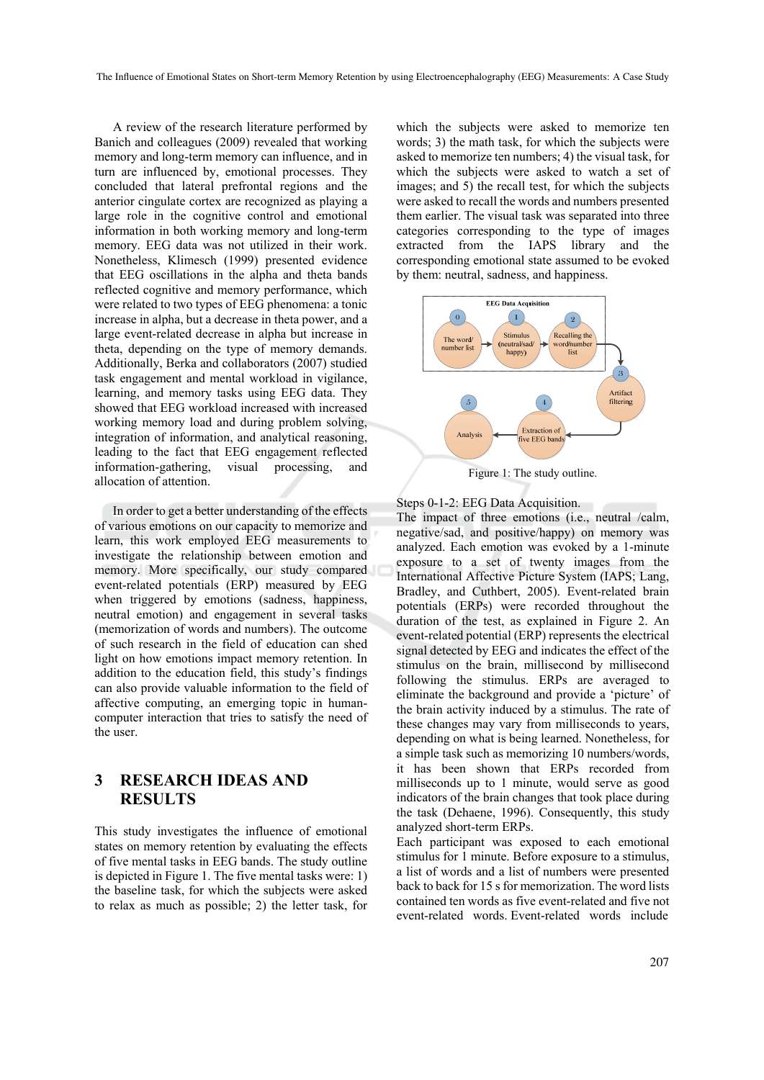A review of the research literature performed by Banich and colleagues (2009) revealed that working memory and long-term memory can influence, and in turn are influenced by, emotional processes. They concluded that lateral prefrontal regions and the anterior cingulate cortex are recognized as playing a large role in the cognitive control and emotional information in both working memory and long-term memory. EEG data was not utilized in their work. Nonetheless, Klimesch (1999) presented evidence that EEG oscillations in the alpha and theta bands reflected cognitive and memory performance, which were related to two types of EEG phenomena: a tonic increase in alpha, but a decrease in theta power, and a large event-related decrease in alpha but increase in theta, depending on the type of memory demands. Additionally, Berka and collaborators (2007) studied task engagement and mental workload in vigilance, learning, and memory tasks using EEG data. They showed that EEG workload increased with increased working memory load and during problem solving, integration of information, and analytical reasoning, leading to the fact that EEG engagement reflected information-gathering, visual processing, and allocation of attention.

In order to get a better understanding of the effects of various emotions on our capacity to memorize and learn, this work employed EEG measurements to investigate the relationship between emotion and memory. More specifically, our study compared event-related potentials (ERP) measured by EEG when triggered by emotions (sadness, happiness, neutral emotion) and engagement in several tasks (memorization of words and numbers). The outcome of such research in the field of education can shed light on how emotions impact memory retention. In addition to the education field, this study's findings can also provide valuable information to the field of affective computing, an emerging topic in humancomputer interaction that tries to satisfy the need of the user.

### **3 RESEARCH IDEAS AND RESULTS**

This study investigates the influence of emotional states on memory retention by evaluating the effects of five mental tasks in EEG bands. The study outline is depicted in Figure 1. The five mental tasks were: 1) the baseline task, for which the subjects were asked to relax as much as possible; 2) the letter task, for

which the subjects were asked to memorize ten words; 3) the math task, for which the subjects were asked to memorize ten numbers; 4) the visual task, for which the subjects were asked to watch a set of images; and 5) the recall test, for which the subjects were asked to recall the words and numbers presented them earlier. The visual task was separated into three categories corresponding to the type of images extracted from the IAPS library and the corresponding emotional state assumed to be evoked by them: neutral, sadness, and happiness.



Steps 0-1-2: EEG Data Acquisition. The impact of three emotions (i.e., neutral /calm, negative/sad, and positive/happy) on memory was analyzed. Each emotion was evoked by a 1-minute exposure to a set of twenty images from the International Affective Picture System (IAPS; Lang, Bradley, and Cuthbert, 2005). Event-related brain potentials (ERPs) were recorded throughout the duration of the test, as explained in Figure 2. An event-related potential (ERP) represents the electrical signal detected by EEG and indicates the effect of the stimulus on the brain, millisecond by millisecond following the stimulus. ERPs are averaged to eliminate the background and provide a 'picture' of the brain activity induced by a stimulus. The rate of these changes may vary from milliseconds to years, depending on what is being learned. Nonetheless, for a simple task such as memorizing 10 numbers/words, it has been shown that ERPs recorded from milliseconds up to 1 minute, would serve as good indicators of the brain changes that took place during the task (Dehaene, 1996). Consequently, this study analyzed short-term ERPs.

Each participant was exposed to each emotional stimulus for 1 minute. Before exposure to a stimulus, a list of words and a list of numbers were presented back to back for 15 s for memorization. The word lists contained ten words as five event-related and five not event-related words. Event-related words include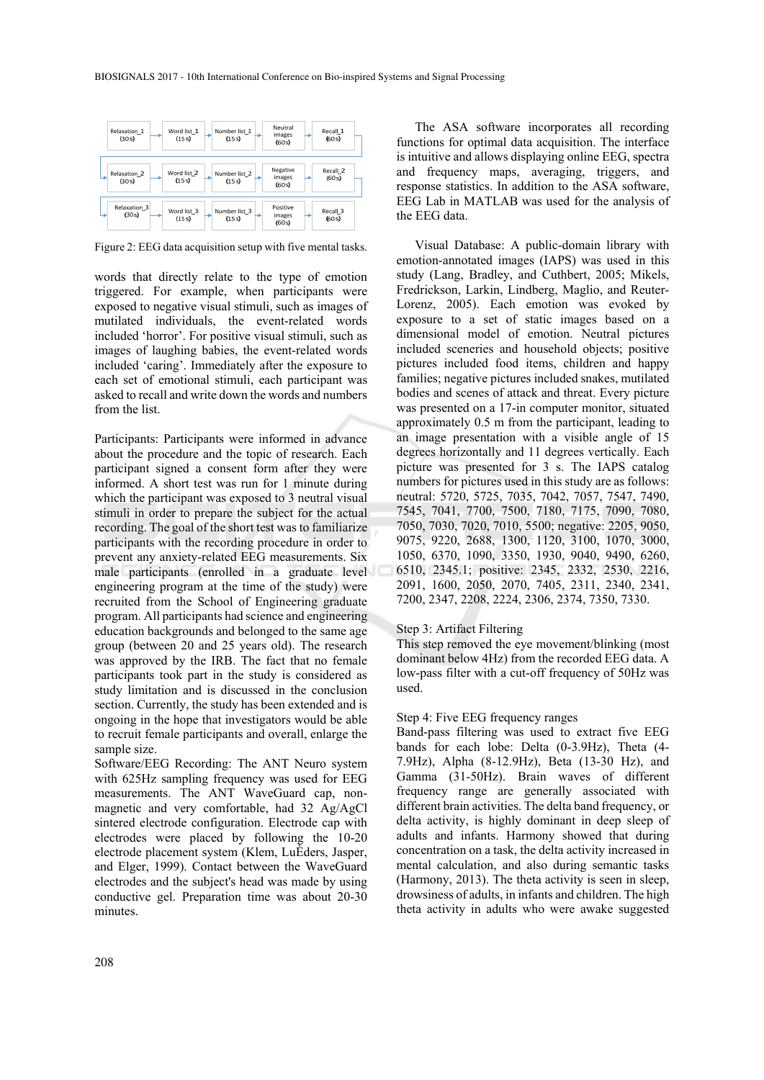

Figure 2: EEG data acquisition setup with five mental tasks.

words that directly relate to the type of emotion triggered. For example, when participants were exposed to negative visual stimuli, such as images of mutilated individuals, the event-related words included 'horror'. For positive visual stimuli, such as images of laughing babies, the event-related words included 'caring'. Immediately after the exposure to each set of emotional stimuli, each participant was asked to recall and write down the words and numbers from the list.

Participants: Participants were informed in advance about the procedure and the topic of research. Each participant signed a consent form after they were informed. A short test was run for 1 minute during which the participant was exposed to 3 neutral visual stimuli in order to prepare the subject for the actual recording. The goal of the short test was to familiarize participants with the recording procedure in order to prevent any anxiety-related EEG measurements. Six male participants (enrolled in a graduate level engineering program at the time of the study) were recruited from the School of Engineering graduate program. All participants had science and engineering education backgrounds and belonged to the same age group (between 20 and 25 years old). The research was approved by the IRB. The fact that no female participants took part in the study is considered as study limitation and is discussed in the conclusion section. Currently, the study has been extended and is ongoing in the hope that investigators would be able to recruit female participants and overall, enlarge the sample size.

Software/EEG Recording: The ANT Neuro system with 625Hz sampling frequency was used for EEG measurements. The ANT WaveGuard cap, nonmagnetic and very comfortable, had 32 Ag/AgCl sintered electrode configuration. Electrode cap with electrodes were placed by following the 10-20 electrode placement system (Klem, LuÈders, Jasper, and Elger, 1999). Contact between the WaveGuard electrodes and the subject's head was made by using conductive gel. Preparation time was about 20-30 minutes.

The ASA software incorporates all recording functions for optimal data acquisition. The interface is intuitive and allows displaying online EEG, spectra and frequency maps, averaging, triggers, and response statistics. In addition to the ASA software, EEG Lab in MATLAB was used for the analysis of the EEG data.

Visual Database: A public-domain library with emotion-annotated images (IAPS) was used in this study (Lang, Bradley, and Cuthbert, 2005; Mikels, Fredrickson, Larkin, Lindberg, Maglio, and Reuter-Lorenz, 2005). Each emotion was evoked by exposure to a set of static images based on a dimensional model of emotion. Neutral pictures included sceneries and household objects; positive pictures included food items, children and happy families; negative pictures included snakes, mutilated bodies and scenes of attack and threat. Every picture was presented on a 17-in computer monitor, situated approximately 0.5 m from the participant, leading to an image presentation with a visible angle of 15 degrees horizontally and 11 degrees vertically. Each picture was presented for 3 s. The IAPS catalog numbers for pictures used in this study are as follows: neutral: 5720, 5725, 7035, 7042, 7057, 7547, 7490, 7545, 7041, 7700, 7500, 7180, 7175, 7090, 7080, 7050, 7030, 7020, 7010, 5500; negative: 2205, 9050, 9075, 9220, 2688, 1300, 1120, 3100, 1070, 3000, 1050, 6370, 1090, 3350, 1930, 9040, 9490, 6260, 6510, 2345.1; positive: 2345, 2332, 2530, 2216, 2091, 1600, 2050, 2070, 7405, 2311, 2340, 2341, 7200, 2347, 2208, 2224, 2306, 2374, 7350, 7330.

#### Step 3: Artifact Filtering

This step removed the eye movement/blinking (most dominant below 4Hz) from the recorded EEG data. A low-pass filter with a cut-off frequency of 50Hz was used.

#### Step 4: Five EEG frequency ranges

Band-pass filtering was used to extract five EEG bands for each lobe: Delta (0-3.9Hz), Theta (4- 7.9Hz), Alpha (8-12.9Hz), Beta (13-30 Hz), and Gamma (31-50Hz). Brain waves of different frequency range are generally associated with different brain activities. The delta band frequency, or delta activity, is highly dominant in deep sleep of adults and infants. Harmony showed that during concentration on a task, the delta activity increased in mental calculation, and also during semantic tasks (Harmony, 2013). The theta activity is seen in sleep, drowsiness of adults, in infants and children. The high theta activity in adults who were awake suggested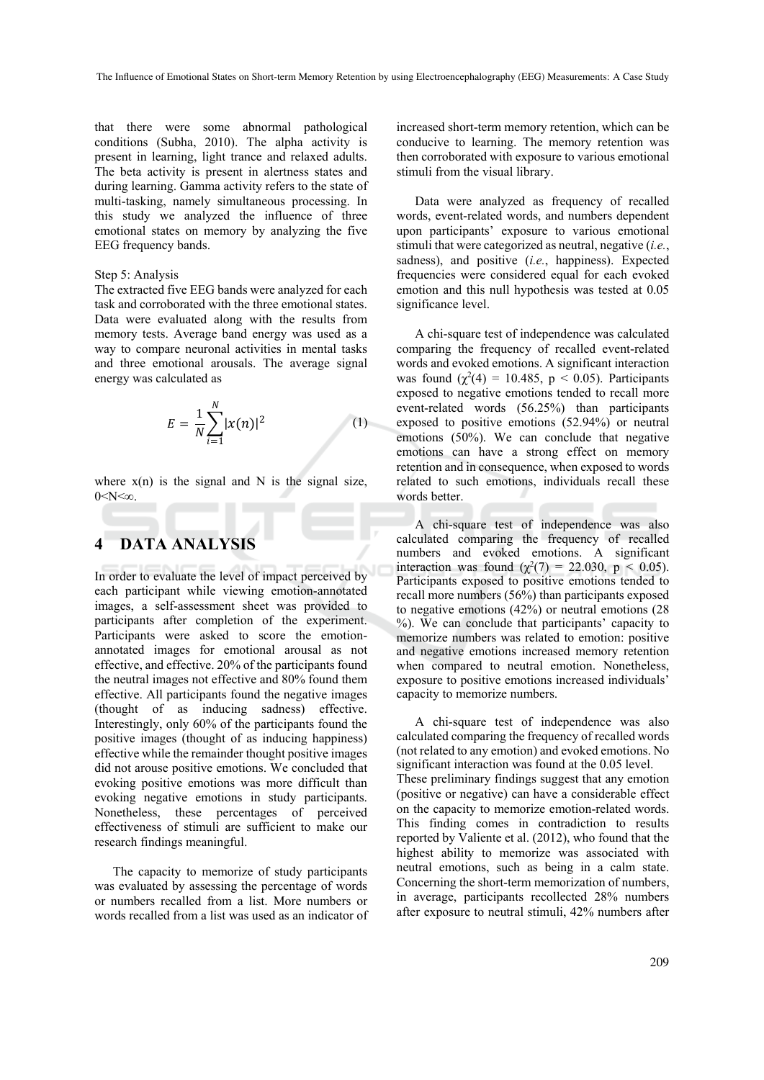that there were some abnormal pathological conditions (Subha, 2010). The alpha activity is present in learning, light trance and relaxed adults. The beta activity is present in alertness states and during learning. Gamma activity refers to the state of multi-tasking, namely simultaneous processing. In this study we analyzed the influence of three emotional states on memory by analyzing the five EEG frequency bands.

### Step 5: Analysis

The extracted five EEG bands were analyzed for each task and corroborated with the three emotional states. Data were evaluated along with the results from memory tests. Average band energy was used as a way to compare neuronal activities in mental tasks and three emotional arousals. The average signal energy was calculated as

$$
E = \frac{1}{N} \sum_{i=1}^{N} |x(n)|^2
$$
 (1)

where  $x(n)$  is the signal and N is the signal size,  $0 < N < \infty$ .

### **4 DATA ANALYSIS**

In order to evaluate the level of impact perceived by each participant while viewing emotion-annotated images, a self-assessment sheet was provided to participants after completion of the experiment. Participants were asked to score the emotionannotated images for emotional arousal as not effective, and effective. 20% of the participants found the neutral images not effective and 80% found them effective. All participants found the negative images (thought of as inducing sadness) effective. Interestingly, only 60% of the participants found the positive images (thought of as inducing happiness) effective while the remainder thought positive images did not arouse positive emotions. We concluded that evoking positive emotions was more difficult than evoking negative emotions in study participants. Nonetheless, these percentages of perceived effectiveness of stimuli are sufficient to make our research findings meaningful.

The capacity to memorize of study participants was evaluated by assessing the percentage of words or numbers recalled from a list. More numbers or words recalled from a list was used as an indicator of

increased short-term memory retention, which can be conducive to learning. The memory retention was then corroborated with exposure to various emotional stimuli from the visual library.

Data were analyzed as frequency of recalled words, event-related words, and numbers dependent upon participants' exposure to various emotional stimuli that were categorized as neutral, negative (*i.e.*, sadness), and positive (*i.e.*, happiness). Expected frequencies were considered equal for each evoked emotion and this null hypothesis was tested at 0.05 significance level.

A chi-square test of independence was calculated comparing the frequency of recalled event-related words and evoked emotions. A significant interaction was found  $(\chi^2(4) = 10.485, p < 0.05)$ . Participants exposed to negative emotions tended to recall more event-related words (56.25%) than participants exposed to positive emotions (52.94%) or neutral emotions (50%). We can conclude that negative emotions can have a strong effect on memory retention and in consequence, when exposed to words related to such emotions, individuals recall these words better.

A chi-square test of independence was also calculated comparing the frequency of recalled numbers and evoked emotions. A significant interaction was found  $(\chi^2(7) = 22.030, p \le 0.05)$ . Participants exposed to positive emotions tended to recall more numbers (56%) than participants exposed to negative emotions (42%) or neutral emotions (28 %). We can conclude that participants' capacity to memorize numbers was related to emotion: positive and negative emotions increased memory retention when compared to neutral emotion. Nonetheless, exposure to positive emotions increased individuals' capacity to memorize numbers.

A chi-square test of independence was also calculated comparing the frequency of recalled words (not related to any emotion) and evoked emotions. No significant interaction was found at the 0.05 level. These preliminary findings suggest that any emotion (positive or negative) can have a considerable effect on the capacity to memorize emotion-related words. This finding comes in contradiction to results reported by Valiente et al. (2012), who found that the highest ability to memorize was associated with neutral emotions, such as being in a calm state. Concerning the short-term memorization of numbers, in average, participants recollected 28% numbers after exposure to neutral stimuli, 42% numbers after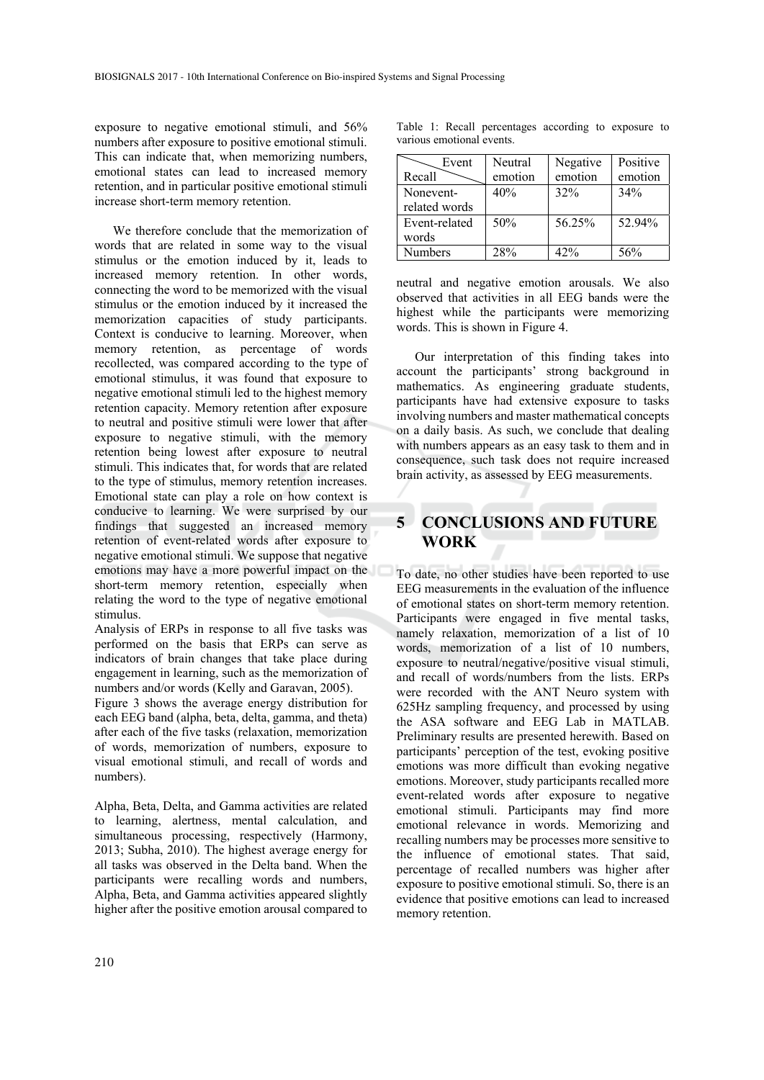exposure to negative emotional stimuli, and 56% numbers after exposure to positive emotional stimuli. This can indicate that, when memorizing numbers, emotional states can lead to increased memory retention, and in particular positive emotional stimuli increase short-term memory retention.

We therefore conclude that the memorization of words that are related in some way to the visual stimulus or the emotion induced by it, leads to increased memory retention. In other words, connecting the word to be memorized with the visual stimulus or the emotion induced by it increased the memorization capacities of study participants. Context is conducive to learning. Moreover, when memory retention, as percentage of words recollected, was compared according to the type of emotional stimulus, it was found that exposure to negative emotional stimuli led to the highest memory retention capacity. Memory retention after exposure to neutral and positive stimuli were lower that after exposure to negative stimuli, with the memory retention being lowest after exposure to neutral stimuli. This indicates that, for words that are related to the type of stimulus, memory retention increases. Emotional state can play a role on how context is conducive to learning. We were surprised by our findings that suggested an increased memory retention of event-related words after exposure to negative emotional stimuli. We suppose that negative emotions may have a more powerful impact on the short-term memory retention, especially when relating the word to the type of negative emotional stimulus.

Analysis of ERPs in response to all five tasks was performed on the basis that ERPs can serve as indicators of brain changes that take place during engagement in learning, such as the memorization of numbers and/or words (Kelly and Garavan, 2005).

Figure 3 shows the average energy distribution for each EEG band (alpha, beta, delta, gamma, and theta) after each of the five tasks (relaxation, memorization of words, memorization of numbers, exposure to visual emotional stimuli, and recall of words and numbers).

Alpha, Beta, Delta, and Gamma activities are related to learning, alertness, mental calculation, and simultaneous processing, respectively (Harmony, 2013; Subha, 2010). The highest average energy for all tasks was observed in the Delta band. When the participants were recalling words and numbers, Alpha, Beta, and Gamma activities appeared slightly higher after the positive emotion arousal compared to

Table 1: Recall percentages according to exposure to various emotional events.

| Event          | Neutral | Negative | Positive |
|----------------|---------|----------|----------|
| Recall         | emotion | emotion  | emotion  |
| Nonevent-      | 40%     | 32%      | 34%      |
| related words  |         |          |          |
| Event-related  | 50%     | 56.25%   | 52.94%   |
| words          |         |          |          |
| <b>Numbers</b> | 28%     | 42%      | 56%      |

neutral and negative emotion arousals. We also observed that activities in all EEG bands were the highest while the participants were memorizing words. This is shown in Figure 4.

Our interpretation of this finding takes into account the participants' strong background in mathematics. As engineering graduate students, participants have had extensive exposure to tasks involving numbers and master mathematical concepts on a daily basis. As such, we conclude that dealing with numbers appears as an easy task to them and in consequence, such task does not require increased brain activity, as assessed by EEG measurements.

## **5 CONCLUSIONS AND FUTURE WORK**

To date, no other studies have been reported to use EEG measurements in the evaluation of the influence of emotional states on short-term memory retention. Participants were engaged in five mental tasks, namely relaxation, memorization of a list of 10 words, memorization of a list of 10 numbers, exposure to neutral/negative/positive visual stimuli, and recall of words/numbers from the lists. ERPs were recorded with the ANT Neuro system with 625Hz sampling frequency, and processed by using the ASA software and EEG Lab in MATLAB. Preliminary results are presented herewith. Based on participants' perception of the test, evoking positive emotions was more difficult than evoking negative emotions. Moreover, study participants recalled more event-related words after exposure to negative emotional stimuli. Participants may find more emotional relevance in words. Memorizing and recalling numbers may be processes more sensitive to the influence of emotional states. That said, percentage of recalled numbers was higher after exposure to positive emotional stimuli. So, there is an evidence that positive emotions can lead to increased memory retention.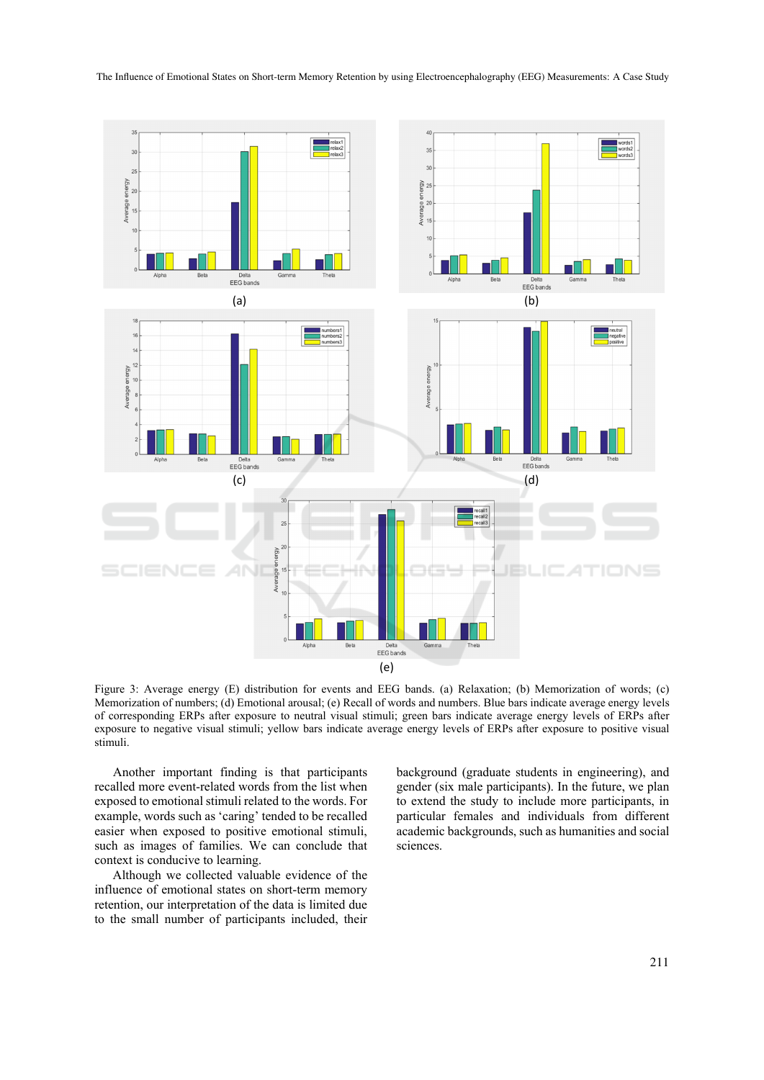

Figure 3: Average energy (E) distribution for events and EEG bands. (a) Relaxation; (b) Memorization of words; (c) Memorization of numbers; (d) Emotional arousal; (e) Recall of words and numbers. Blue bars indicate average energy levels of corresponding ERPs after exposure to neutral visual stimuli; green bars indicate average energy levels of ERPs after exposure to negative visual stimuli; yellow bars indicate average energy levels of ERPs after exposure to positive visual stimuli.

Another important finding is that participants recalled more event-related words from the list when exposed to emotional stimuli related to the words. For example, words such as 'caring' tended to be recalled easier when exposed to positive emotional stimuli, such as images of families. We can conclude that context is conducive to learning.

Although we collected valuable evidence of the influence of emotional states on short-term memory retention, our interpretation of the data is limited due to the small number of participants included, their

background (graduate students in engineering), and gender (six male participants). In the future, we plan to extend the study to include more participants, in particular females and individuals from different academic backgrounds, such as humanities and social sciences.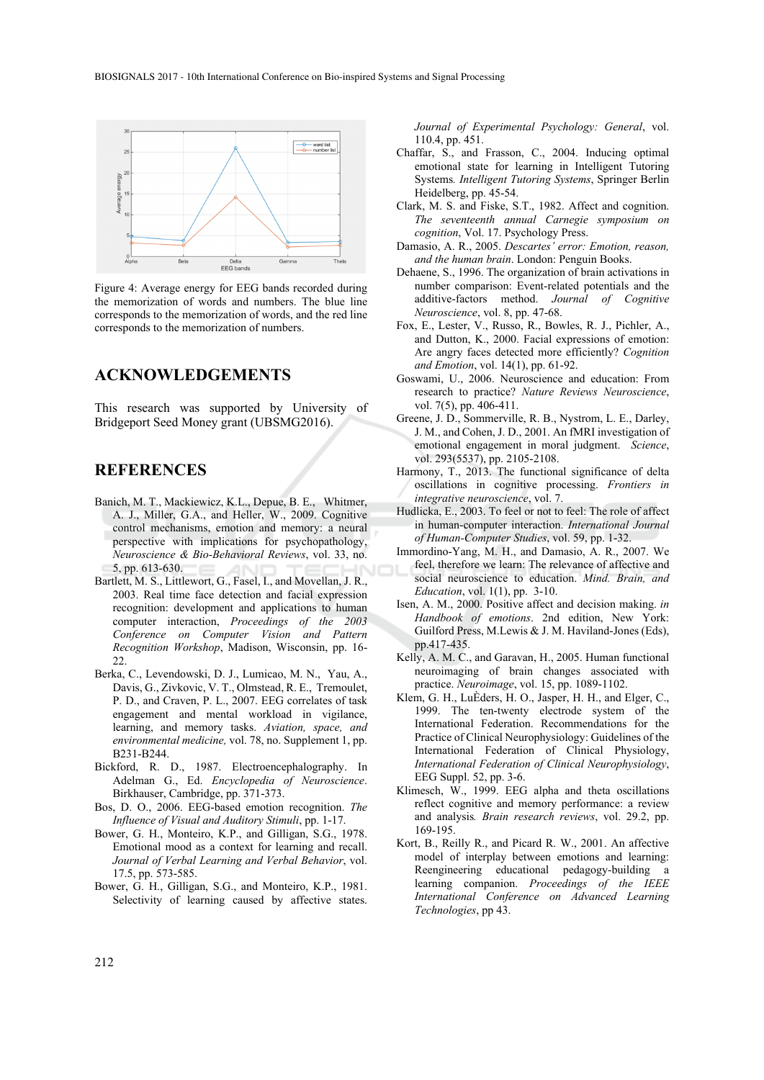

Figure 4: Average energy for EEG bands recorded during the memorization of words and numbers. The blue line corresponds to the memorization of words, and the red line corresponds to the memorization of numbers.

### **ACKNOWLEDGEMENTS**

This research was supported by University of Bridgeport Seed Money grant (UBSMG2016).

### **REFERENCES**

- Banich, M. T., Mackiewicz, K.L., Depue, B. E., Whitmer, A. J., Miller, G.A., and Heller, W., 2009. Cognitive control mechanisms, emotion and memory: a neural perspective with implications for psychopathology, *Neuroscience & Bio-Behavioral Reviews*, vol. 33, no. 5, pp. 613-630.
- Bartlett, M. S., Littlewort, G., Fasel, I., and Movellan, J. R., 2003. Real time face detection and facial expression recognition: development and applications to human computer interaction, *Proceedings of the 2003 Conference on Computer Vision and Pattern Recognition Workshop*, Madison, Wisconsin, pp. 16-  $22.2$
- Berka, C., Levendowski, D. J., Lumicao, M. N., Yau, A., Davis, G., Zivkovic, V. T., Olmstead, R. E., Tremoulet, P. D., and Craven, P. L., 2007. EEG correlates of task engagement and mental workload in vigilance, learning, and memory tasks. *Aviation, space, and environmental medicine,* vol. 78, no. Supplement 1, pp. B231-B244.
- Bickford, R. D., 1987. Electroencephalography. In Adelman G., Ed. *Encyclopedia of Neuroscience*. Birkhauser, Cambridge, pp. 371-373.
- Bos, D. O., 2006. EEG-based emotion recognition. *The Influence of Visual and Auditory Stimuli*, pp. 1-17.
- Bower, G. H., Monteiro, K.P., and Gilligan, S.G., 1978. Emotional mood as a context for learning and recall. *Journal of Verbal Learning and Verbal Behavior*, vol. 17.5, pp. 573-585.
- Bower, G. H., Gilligan, S.G., and Monteiro, K.P., 1981. Selectivity of learning caused by affective states.

*Journal of Experimental Psychology: General*, vol. 110.4, pp. 451.

- Chaffar, S., and Frasson, C., 2004. Inducing optimal emotional state for learning in Intelligent Tutoring Systems*. Intelligent Tutoring Systems*, Springer Berlin Heidelberg, pp. 45-54.
- Clark, M. S. and Fiske, S.T., 1982. Affect and cognition. *The seventeenth annual Carnegie symposium on cognition*, Vol. 17. Psychology Press.
- Damasio, A. R., 2005. *Descartes' error: Emotion, reason, and the human brain*. London: Penguin Books.
- Dehaene, S., 1996. The organization of brain activations in number comparison: Event-related potentials and the additive-factors method. *Journal of Cognitive Neuroscience*, vol. 8, pp. 47-68.
- Fox, E., Lester, V., Russo, R., Bowles, R. J., Pichler, A., and Dutton, K., 2000. Facial expressions of emotion: Are angry faces detected more efficiently? *Cognition and Emotion*, vol. 14(1), pp. 61-92.
- Goswami, U., 2006. Neuroscience and education: From research to practice? *Nature Reviews Neuroscience*, vol. 7(5), pp. 406-411.
- Greene, J. D., Sommerville, R. B., Nystrom, L. E., Darley, J. M., and Cohen, J. D., 2001. An fMRI investigation of emotional engagement in moral judgment. *Science*, vol. 293(5537), pp. 2105-2108.
- Harmony, T., 2013. The functional significance of delta oscillations in cognitive processing. *Frontiers in integrative neuroscience*, vol. 7.
- Hudlicka, E., 2003. To feel or not to feel: The role of affect in human-computer interaction. *International Journal of Human-Computer Studies*, vol. 59, pp. 1-32.
- Immordino-Yang, M. H., and Damasio, A. R., 2007. We feel, therefore we learn: The relevance of affective and social neuroscience to education. *Mind. Brain, and Education*, vol. 1(1), pp. 3-10.
- Isen, A. M., 2000. Positive affect and decision making. *in Handbook of emotions*. 2nd edition, New York: Guilford Press, M.Lewis & J. M. Haviland-Jones (Eds), pp.417-435.
- Kelly, A. M. C., and Garavan, H., 2005. Human functional neuroimaging of brain changes associated with practice. *Neuroimage*, vol. 15, pp. 1089-1102.
- Klem, G. H., LuÈders, H. O., Jasper, H. H., and Elger, C., 1999. The ten-twenty electrode system of the International Federation. Recommendations for the Practice of Clinical Neurophysiology: Guidelines of the International Federation of Clinical Physiology, *International Federation of Clinical Neurophysiology*, EEG Suppl. 52, pp. 3-6.
- Klimesch, W., 1999. EEG alpha and theta oscillations reflect cognitive and memory performance: a review and analysis*. Brain research reviews*, vol. 29.2, pp. 169-195.
- Kort, B., Reilly R., and Picard R. W., 2001. An affective model of interplay between emotions and learning: Reengineering educational pedagogy-building a learning companion. *Proceedings of the IEEE International Conference on Advanced Learning Technologies*, pp 43.